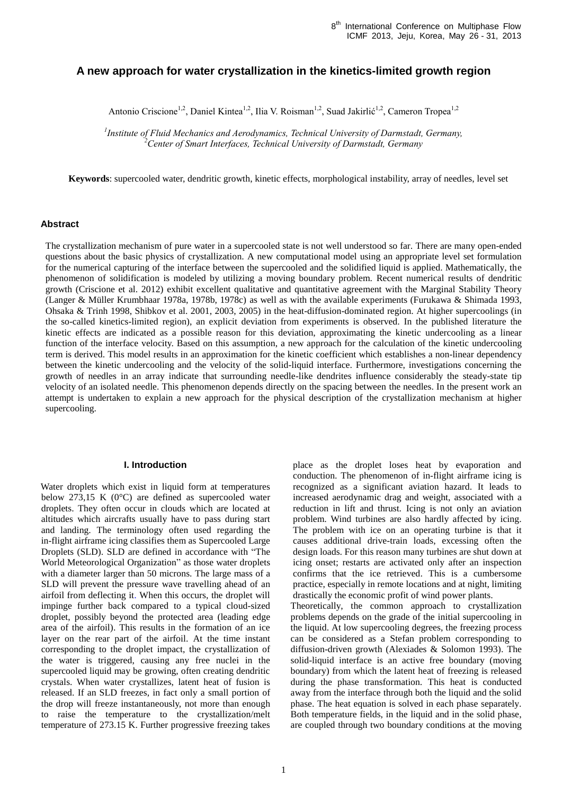# **A new approach for water crystallization in the kinetics-limited growth region**

Antonio Criscione<sup>1,2</sup>, Daniel Kintea<sup>1,2</sup>, Ilia V. Roisman<sup>1,2</sup>, Suad Jakirlić<sup>1,2</sup>, Cameron Tropea<sup>1,2</sup>

*1 Institute of Fluid Mechanics and Aerodynamics, Technical University of Darmstadt, Germany, <sup>2</sup>Center of Smart Interfaces, Technical University of Darmstadt, Germany*

**Keywords**: supercooled water, dendritic growth, kinetic effects, morphological instability, array of needles, level set

### **Abstract**

The crystallization mechanism of pure water in a supercooled state is not well understood so far. There are many open-ended questions about the basic physics of crystallization. A new computational model using an appropriate level set formulation for the numerical capturing of the interface between the supercooled and the solidified liquid is applied. Mathematically, the phenomenon of solidification is modeled by utilizing a moving boundary problem. Recent numerical results of dendritic growth (Criscione et al. 2012) exhibit excellent qualitative and quantitative agreement with the Marginal Stability Theory (Langer & Müller Krumbhaar 1978a, 1978b, 1978c) as well as with the available experiments (Furukawa & Shimada 1993, Ohsaka & Trinh 1998, Shibkov et al. 2001, 2003, 2005) in the heat-diffusion-dominated region. At higher supercoolings (in the so-called kinetics-limited region), an explicit deviation from experiments is observed. In the published literature the kinetic effects are indicated as a possible reason for this deviation, approximating the kinetic undercooling as a linear function of the interface velocity. Based on this assumption, a new approach for the calculation of the kinetic undercooling term is derived. This model results in an approximation for the kinetic coefficient which establishes a non-linear dependency between the kinetic undercooling and the velocity of the solid-liquid interface. Furthermore, investigations concerning the growth of needles in an array indicate that surrounding needle-like dendrites influence considerably the steady-state tip velocity of an isolated needle. This phenomenon depends directly on the spacing between the needles. In the present work an attempt is undertaken to explain a new approach for the physical description of the crystallization mechanism at higher supercooling.

### **I. Introduction**

Water droplets which exist in liquid form at temperatures below 273,15 K (0°C) are defined as supercooled water droplets. They often occur in clouds which are located at altitudes which aircrafts usually have to pass during start and landing. The terminology often used regarding the in-flight airframe icing classifies them as Supercooled Large Droplets (SLD). SLD are defined in accordance with "The World Meteorological Organization" as those water droplets with a diameter larger than 50 microns. The large mass of a SLD will prevent the pressure wave travelling ahead of an airfoil from deflecting it. When this occurs, the droplet will impinge further back compared to a typical cloud-sized droplet, possibly beyond the protected area (leading edge area of the airfoil). This results in the formation of an ice layer on the rear part of the airfoil. At the time instant corresponding to the droplet impact, the crystallization of the water is triggered, causing any free nuclei in the supercooled liquid may be growing, often creating dendritic crystals. When water crystallizes, latent heat of fusion is released. If an SLD freezes, in fact only a small portion of the drop will freeze instantaneously, not more than enough to raise the temperature to the crystallization/melt temperature of 273.15 K. Further progressive freezing takes

place as the droplet loses heat by evaporation and conduction. The phenomenon of in-flight airframe icing is recognized as a significant aviation hazard. It leads to increased aerodynamic drag and weight, associated with a reduction in lift and thrust. Icing is not only an aviation problem. Wind turbines are also hardly affected by icing. The problem with ice on an operating turbine is that it causes additional drive-train loads, excessing often the design loads. For this reason many turbines are shut down at icing onset; restarts are activated only after an inspection confirms that the ice retrieved. This is a cumbersome practice, especially in remote locations and at night, limiting drastically the economic profit of wind power plants. Theoretically, the common approach to crystallization problems depends on the grade of the initial supercooling in the liquid. At low supercooling degrees, the freezing process can be considered as a Stefan problem corresponding to diffusion-driven growth (Alexiades & Solomon 1993). The solid-liquid interface is an active free boundary (moving boundary) from which the latent heat of freezing is released during the phase transformation. This heat is conducted away from the interface through both the liquid and the solid phase. The heat equation is solved in each phase separately. Both temperature fields, in the liquid and in the solid phase, are coupled through two boundary conditions at the moving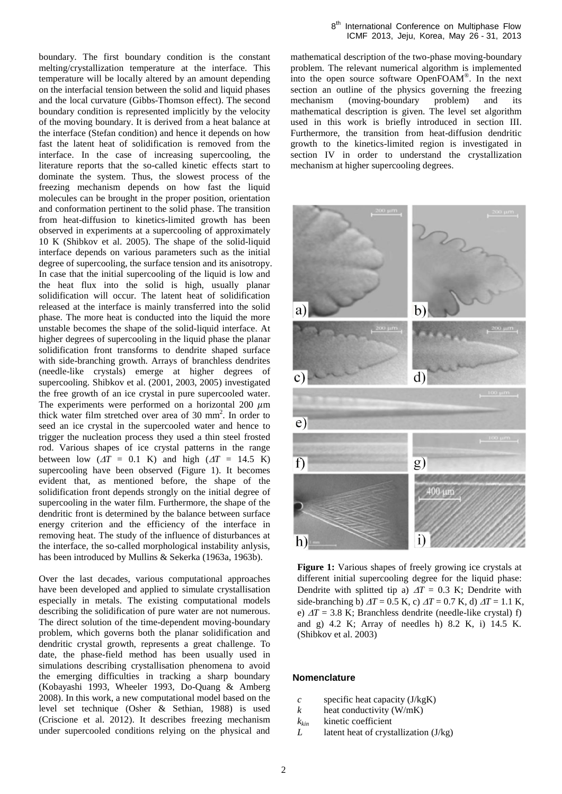boundary. The first boundary condition is the constant melting/crystallization temperature at the interface. This temperature will be locally altered by an amount depending on the interfacial tension between the solid and liquid phases and the local curvature (Gibbs-Thomson effect). The second boundary condition is represented implicitly by the velocity of the moving boundary. It is derived from a heat balance at the interface (Stefan condition) and hence it depends on how fast the latent heat of solidification is removed from the interface. In the case of increasing supercooling, the literature reports that the so-called kinetic effects start to dominate the system. Thus, the slowest process of the freezing mechanism depends on how fast the liquid molecules can be brought in the proper position, orientation and conformation pertinent to the solid phase. The transition from heat-diffusion to kinetics-limited growth has been observed in experiments at a supercooling of approximately 10 K (Shibkov et al. 2005). The shape of the solid-liquid interface depends on various parameters such as the initial degree of supercooling, the surface tension and its anisotropy. In case that the initial supercooling of the liquid is low and the heat flux into the solid is high, usually planar solidification will occur. The latent heat of solidification released at the interface is mainly transferred into the solid phase. The more heat is conducted into the liquid the more unstable becomes the shape of the solid-liquid interface. At higher degrees of supercooling in the liquid phase the planar solidification front transforms to dendrite shaped surface with side-branching growth. Arrays of branchless dendrites (needle-like crystals) emerge at higher degrees of supercooling. Shibkov et al. (2001, 2003, 2005) investigated the free growth of an ice crystal in pure supercooled water. The experiments were performed on a horizontal 200  $\mu$ m thick water film stretched over area of 30 mm<sup>2</sup> . In order to seed an ice crystal in the supercooled water and hence to trigger the nucleation process they used a thin steel frosted rod. Various shapes of ice crystal patterns in the range between low  $(\Delta T = 0.1 \text{ K})$  and high  $(\Delta T = 14.5 \text{ K})$ supercooling have been observed (Figure 1). It becomes evident that, as mentioned before, the shape of the solidification front depends strongly on the initial degree of supercooling in the water film. Furthermore, the shape of the dendritic front is determined by the balance between surface energy criterion and the efficiency of the interface in removing heat. The study of the influence of disturbances at the interface, the so-called morphological instability anlysis, has been introduced by Mullins & Sekerka (1963a, 1963b).

Over the last decades, various computational approaches have been developed and applied to simulate crystallisation especially in metals. The existing computational models describing the solidification of pure water are not numerous. The direct solution of the time-dependent moving-boundary problem, which governs both the planar solidification and dendritic crystal growth, represents a great challenge. To date, the phase-field method has been usually used in simulations describing crystallisation phenomena to avoid the emerging difficulties in tracking a sharp boundary (Kobayashi 1993, Wheeler 1993, Do-Quang & Amberg 2008). In this work, a new computational model based on the level set technique (Osher & Sethian, 1988) is used (Criscione et al. 2012). It describes freezing mechanism under supercooled conditions relying on the physical and mathematical description of the two-phase moving-boundary problem. The relevant numerical algorithm is implemented into the open source software OpenFOAM® . In the next section an outline of the physics governing the freezing mechanism (moving-boundary problem) and its mathematical description is given. The level set algorithm used in this work is briefly introduced in section III. Furthermore, the transition from heat-diffusion dendritic growth to the kinetics-limited region is investigated in section IV in order to understand the crystallization mechanism at higher supercooling degrees.



**Figure 1:** Various shapes of freely growing ice crystals at different initial supercooling degree for the liquid phase: Dendrite with splitted tip a)  $\Delta T = 0.3$  K; Dendrite with side-branching b)  $\Delta T = 0.5$  K, c)  $\Delta T = 0.7$  K, d)  $\Delta T = 1.1$  K, e)  $\Delta T = 3.8$  K; Branchless dendrite (needle-like crystal) f) and g) 4.2 K; Array of needles h) 8.2 K, i) 14.5 K. (Shibkov et al. 2003)

# **Nomenclature**

- *c* specific heat capacity (J/kgK)
- *k* heat conductivity (W/mK)
- *kkin* kinetic coefficient
- *L* latent heat of crystallization (J/kg)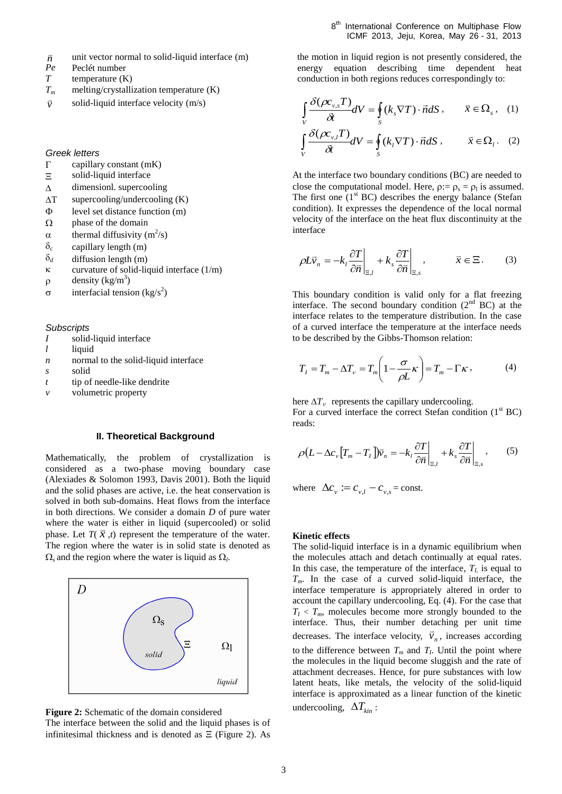- 8<sup>th</sup> International Conference on Multiphase Flow ICMF 2013, Jeju, Korea, May 26 - 31, 2013
- *n* unit vector normal to solid-liquid interface (m)
- *Pe* Peclét number
- *T* temperature (K)
- $T_m$  melting/crystallization temperature  $(K)$
- *v* solid-liquid interface velocity (m/s)

*Greek letters*

- $\Gamma$ capillary constant (mK)
- $\Xi$ solid-liquid interface
- $\Delta$ dimensionl. supercooling
- $\Delta T$ supercooling/undercooling (K)
- $\Phi$ level set distance function (m)
- $\Omega$ phase of the domain
- $\alpha$ thermal diffusivity  $(m^2/s)$
- $\delta_c$ capillary length (m)
- $\delta_d$ diffusion length (m)
- $\kappa$ curvature of solid-liquid interface (1/m)
- $\rho$ density (kg/m<sup>3</sup>)
- $\sigma$ interfacial tension  $\frac{1}{s^2}$ )

#### *Subscripts*

- *I* solid-liquid interface
- *l* liquid
- *n* normal to the solid-liquid interface
- *s* solid
- *t* tip of needle-like dendrite
- *v* volumetric property

### **II. Theoretical Background**

Mathematically, the problem of crystallization is considered as a two-phase moving boundary case (Alexiades & Solomon 1993, Davis 2001). Both the liquid and the solid phases are active, i.e. the heat conservation is solved in both sub-domains. Heat flows from the interface in both directions. We consider a domain *D* of pure water where the water is either in liquid (supercooled) or solid phase. Let  $T(\vec{x},t)$  represent the temperature of the water. The region where the water is in solid state is denoted as  $\Omega$ <sub>s</sub> and the region where the water is liquid as  $\Omega$ <sub>l</sub>.





The interface between the solid and the liquid phases is of infinitesimal thickness and is denoted as  $\Xi$  (Figure 2). As

the motion in liquid region is not presently considered, the energy equation describing time dependent heat conduction in both regions reduces correspondingly to:

$$
\int_{V} \frac{\delta(\rho c_{v,s}T)}{\delta t} dV = \oint_{S} (k_{s} \nabla T) \cdot \vec{n} dS, \qquad \vec{x} \in \Omega_{s}, \quad (1)
$$

$$
\int_{V} \frac{\delta(\rho c_{v,l}T)}{\delta t} dV = \oint_{S} (k_{l} \nabla T) \cdot \vec{n} dS, \qquad \vec{x} \in \Omega_{l}. \quad (2)
$$

At the interface two boundary conditions (BC) are needed to close the computational model. Here,  $\rho := \rho_s = \rho_l$  is assumed. The first one  $(1<sup>st</sup> BC)$  describes the energy balance (Stefan condition). It expresses the dependence of the local normal velocity of the interface on the heat flux discontinuity at the interface

$$
\rho L \vec{v}_n = -k_l \frac{\partial T}{\partial \vec{n}} \bigg|_{\Xi, l} + k_s \frac{\partial T}{\partial \vec{n}} \bigg|_{\Xi, s}, \qquad \bar{x} \in \Xi. \tag{3}
$$

This boundary condition is valid only for a flat freezing interface. The second boundary condition  $(2<sup>nd</sup> BC)$  at the interface relates to the temperature distribution. In the case of a curved interface the temperature at the interface needs to be described by the Gibbs-Thomson relation:

$$
T_I = T_m - \Delta T_v = T_m \left( 1 - \frac{\sigma}{\rho L} \kappa \right) = T_m - \Gamma \kappa \,, \tag{4}
$$

here  $\Delta T_v$  represents the capillary undercooling. For a curved interface the correct Stefan condition  $(1<sup>st</sup> BC)$ reads:

$$
\rho \left( L - \Delta c_v \left[ T_m - T_I \right] \right) \overline{\psi}_n = -k_I \frac{\partial T}{\partial \overline{n}} \bigg|_{\Xi, I} + k_s \frac{\partial T}{\partial \overline{n}} \bigg|_{\Xi, s}, \tag{5}
$$

where  $\Delta c_v := c_{v,l} - c_{v,s}$  = const.

# **Kinetic effects**

The solid-liquid interface is in a dynamic equilibrium when the molecules attach and detach continually at equal rates. In this case, the temperature of the interface,  $T_L$  is equal to *Tm*. In the case of a curved solid-liquid interface, the interface temperature is appropriately altered in order to account the capillary undercooling, Eq. (4). For the case that  $T_I$  <  $T_m$ , molecules become more strongly bounded to the interface. Thus, their number detaching per unit time decreases. The interface velocity,  $\vec{v}_n$ , increases according to the difference between  $T_m$  and  $T_l$ . Until the point where the molecules in the liquid become sluggish and the rate of attachment decreases. Hence, for pure substances with low latent heats, like metals, the velocity of the solid-liquid interface is approximated as a linear function of the kinetic undercooling,  $\Delta T_{kin}$ :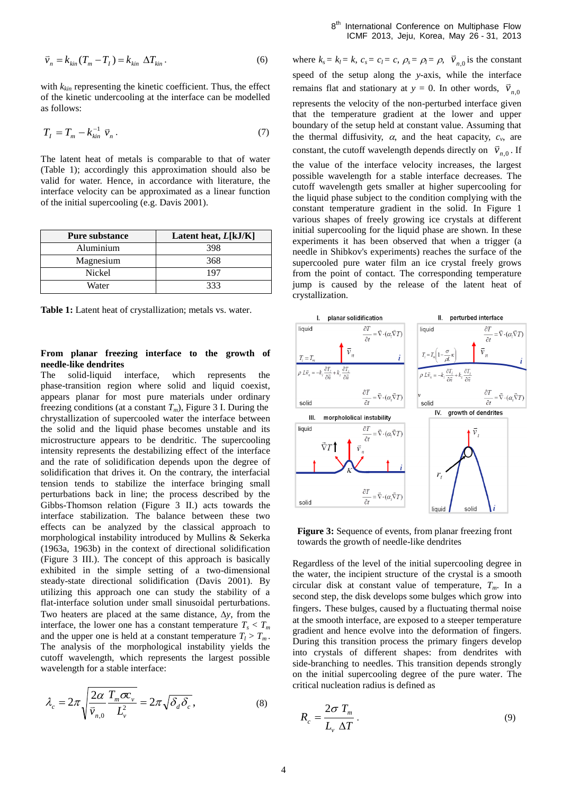$$
\vec{v}_n = k_{kin}(T_m - T_I) = k_{kin} \Delta T_{kin}.
$$
\n(6)

with *kkin* representing the kinetic coefficient. Thus, the effect of the kinetic undercooling at the interface can be modelled as follows:

$$
T_I = T_m - k_{kin}^{-1} \vec{v}_n.
$$
 (7)

The latent heat of metals is comparable to that of water (Table 1); accordingly this approximation should also be valid for water. Hence, in accordance with literature, the interface velocity can be approximated as a linear function of the initial supercooling (e.g. Davis 2001).

| <b>Pure substance</b> | Latent heat, $L[kJ/K]$ |
|-----------------------|------------------------|
| Aluminium             | 398                    |
| Magnesium             | 368                    |
| Nickel                | 197                    |
| Water                 | 333                    |

Table 1: Latent heat of crystallization; metals vs. water.

# **From planar freezing interface to the growth of needle-like dendrites**

The solid-liquid interface, which represents the phase-transition region where solid and liquid coexist, appears planar for most pure materials under ordinary freezing conditions (at a constant  $T_m$ ), Figure 3 I. During the chrystallization of supercooled water the interface between the solid and the liquid phase becomes unstable and its microstructure appears to be dendritic. The supercooling intensity represents the destabilizing effect of the interface and the rate of solidification depends upon the degree of solidification that drives it. On the contrary, the interfacial tension tends to stabilize the interface bringing small perturbations back in line; the process described by the Gibbs-Thomson relation (Figure 3 II.) acts towards the interface stabilization. The balance between these two effects can be analyzed by the classical approach to morphological instability introduced by Mullins & Sekerka (1963a, 1963b) in the context of directional solidification (Figure 3 III.). The concept of this approach is basically exhibited in the simple setting of a two-dimensional steady-state directional solidification (Davis 2001). By utilizing this approach one can study the stability of a flat-interface solution under small sinusoidal perturbations. Two heaters are placed at the same distance,  $\Delta y$ , from the interface, the lower one has a constant temperature  $T_s < T_m$ and the upper one is held at a constant temperature  $T_l > T_m$ . The analysis of the morphological instability yields the cutoff wavelength, which represents the largest possible wavelength for a stable interface:

$$
\lambda_c = 2\pi \sqrt{\frac{2\alpha}{\bar{v}_{n,0}} \frac{T_m \sigma c_v}{L_v^2}} = 2\pi \sqrt{\delta_d \delta_c},
$$
\n(8)

where  $k_s = k_l = k$ ,  $c_s = c_l = c$ ,  $\rho_s = \rho_l = \rho$ ,  $\vec{v}_{n,0}$  is the constant speed of the setup along the *y*-axis, while the interface remains flat and stationary at *y* = 0. In other words,  $\vec{v}_{n,0}$ represents the velocity of the non-perturbed interface given that the temperature gradient at the lower and upper boundary of the setup held at constant value. Assuming that the thermal diffusivity,  $\alpha$ , and the heat capacity,  $c_v$ , are constant, the cutoff wavelength depends directly on  $\vec{v}_{n,0}$ . If the value of the interface velocity increases, the largest possible wavelength for a stable interface decreases. The cutoff wavelength gets smaller at higher supercooling for the liquid phase subject to the condition complying with the constant temperature gradient in the solid. In Figure 1 various shapes of freely growing ice crystals at different initial supercooling for the liquid phase are shown. In these experiments it has been observed that when a trigger (a needle in Shibkov's experiments) reaches the surface of the supercooled pure water film an ice crystal freely grows from the point of contact. The corresponding temperature jump is caused by the release of the latent heat of crystallization.



**Figure 3:** Sequence of events, from planar freezing front towards the growth of needle-like dendrites

Regardless of the level of the initial supercooling degree in the water, the incipient structure of the crystal is a smooth circular disk at constant value of temperature,  $T_m$ . In a second step, the disk develops some bulges which grow into fingers. These bulges, caused by a fluctuating thermal noise at the smooth interface, are exposed to a steeper temperature gradient and hence evolve into the deformation of fingers. During this transition process the primary fingers develop into crystals of different shapes: from dendrites with side-branching to needles. This transition depends strongly on the initial supercooling degree of the pure water. The critical nucleation radius is defined as

$$
R_c = \frac{2\sigma T_m}{L_v \Delta T}.
$$
\n(9)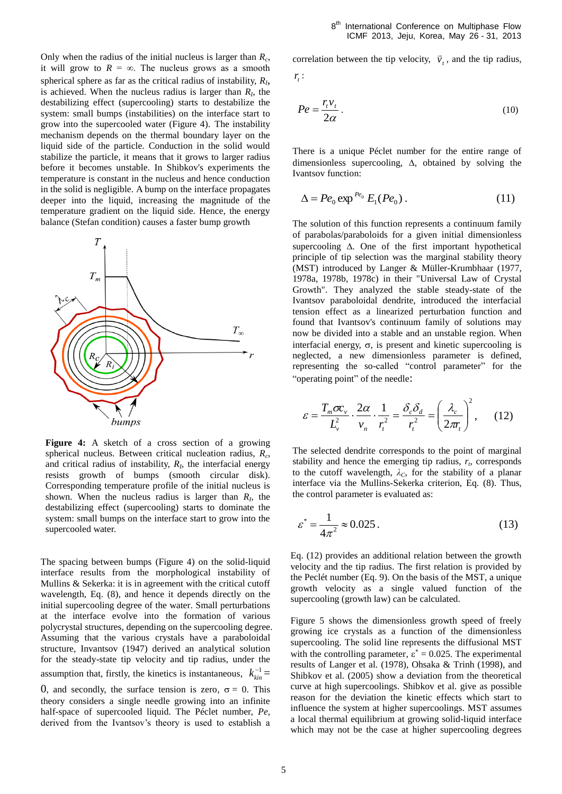Only when the radius of the initial nucleus is larger than *R<sup>c</sup>* , it will grow to  $R = \infty$ . The nucleus grows as a smooth spherical sphere as far as the critical radius of instability, *R<sup>I</sup>* , is achieved. When the nucleus radius is larger than  $R_I$ , the destabilizing effect (supercooling) starts to destabilize the system: small bumps (instabilities) on the interface start to grow into the supercooled water (Figure 4). The instability mechanism depends on the thermal boundary layer on the liquid side of the particle. Conduction in the solid would stabilize the particle, it means that it grows to larger radius before it becomes unstable. In Shibkov's experiments the temperature is constant in the nucleus and hence conduction in the solid is negligible. A bump on the interface propagates deeper into the liquid, increasing the magnitude of the temperature gradient on the liquid side. Hence, the energy balance (Stefan condition) causes a faster bump growth



The spacing between bumps (Figure 4) on the solid-liquid interface results from the morphological instability of Mullins & Sekerka: it is in agreement with the critical cutoff wavelength, Eq. (8), and hence it depends directly on the initial supercooling degree of the water. Small perturbations at the interface evolve into the formation of various polycrystal structures, depending on the supercooling degree. Assuming that the various crystals have a paraboloidal structure, Invantsov (1947) derived an analytical solution for the steady-state tip velocity and tip radius, under the assumption that, firstly, the kinetics is instantaneous,  $k_{kin}^{-1}$  =

0, and secondly, the surface tension is zero,  $\sigma = 0$ . This theory considers a single needle growing into an infinite half-space of supercooled liquid. The Péclet number, *Pe*, derived from the Ivantsov's theory is used to establish a correlation between the tip velocity,  $\vec{v}_t$ , and the tip radius,

$$
r_{t}:
$$

$$
Pe = \frac{r_i v_t}{2\alpha} \,. \tag{10}
$$

There is a unique Péclet number for the entire range of dimensionless supercooling,  $\Delta$ , obtained by solving the Ivantsov function:

$$
\Delta = Pe_0 \exp^{Pe_0} E_1(Pe_0). \tag{11}
$$

The solution of this function represents a continuum family of parabolas/paraboloids for a given initial dimensionless supercooling  $\Delta$ . One of the first important hypothetical principle of tip selection was the marginal stability theory (MST) introduced by Langer & Müller-Krumbhaar (1977, 1978a, 1978b, 1978c) in their "Universal Law of Crystal Growth". They analyzed the stable steady-state of the Ivantsov paraboloidal dendrite, introduced the interfacial tension effect as a linearized perturbation function and found that Ivantsov's continuum family of solutions may now be divided into a stable and an unstable region. When interfacial energy,  $\sigma$ , is present and kinetic supercooling is neglected, a new dimensionless parameter is defined, representing the so-called "control parameter" for the "operating point" of the needle:

$$
\varepsilon = \frac{T_m \sigma c_v}{L_v^2} \cdot \frac{2\alpha}{v_n} \cdot \frac{1}{r_t^2} = \frac{\delta_c \delta_d}{r_t^2} = \left(\frac{\lambda_c}{2\pi r_t}\right)^2, \quad (12)
$$

The selected dendrite corresponds to the point of marginal stability and hence the emerging tip radius,  $r<sub>t</sub>$ , corresponds to the cutoff wavelength,  $\lambda_c$ , for the stability of a planar interface via the Mullins-Sekerka criterion, Eq. (8). Thus, the control parameter is evaluated as:

$$
\varepsilon^* = \frac{1}{4\pi^2} \approx 0.025\,. \tag{13}
$$

Eq. (12) provides an additional relation between the growth velocity and the tip radius. The first relation is provided by the Peclét number (Eq. 9). On the basis of the MST, a unique growth velocity as a single valued function of the supercooling (growth law) can be calculated.

Figure 5 shows the dimensionless growth speed of freely growing ice crystals as a function of the dimensionless supercooling. The solid line represents the diffusional MST with the controlling parameter,  $\varepsilon^* = 0.025$ . The experimental results of Langer et al. (1978), Ohsaka & Trinh (1998), and Shibkov et al. (2005) show a deviation from the theoretical curve at high supercoolings. Shibkov et al. give as possible reason for the deviation the kinetic effects which start to influence the system at higher supercoolings. MST assumes a local thermal equilibrium at growing solid-liquid interface which may not be the case at higher supercooling degrees

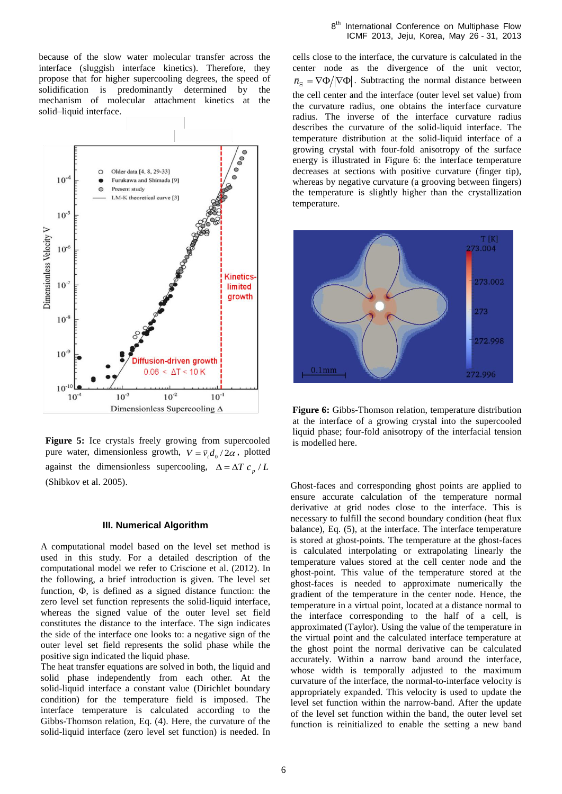because of the slow water molecular transfer across the interface (sluggish interface kinetics). Therefore, they propose that for higher supercooling degrees, the speed of solidification is predominantly determined by the mechanism of molecular attachment kinetics at the solid–liquid interface.



**Figure 5:** Ice crystals freely growing from supercooled pure water, dimensionless growth,  $V = \vec{v}_r d_0 / 2\alpha$ , plotted against the dimensionless supercooling,  $\Delta = \Delta T c_p / L$ (Shibkov et al. 2005).

# **III. Numerical Algorithm**

A computational model based on the level set method is used in this study. For a detailed description of the computational model we refer to Criscione et al. (2012). In the following, a brief introduction is given. The level set function,  $\Phi$ , is defined as a signed distance function: the zero level set function represents the solid-liquid interface, whereas the signed value of the outer level set field constitutes the distance to the interface. The sign indicates the side of the interface one looks to: a negative sign of the outer level set field represents the solid phase while the positive sign indicated the liquid phase.

The heat transfer equations are solved in both, the liquid and solid phase independently from each other. At the solid-liquid interface a constant value (Dirichlet boundary condition) for the temperature field is imposed. The interface temperature is calculated according to the Gibbs-Thomson relation, Eq. (4). Here, the curvature of the solid-liquid interface (zero level set function) is needed. In

cells close to the interface, the curvature is calculated in the center node as the divergence of the unit vector,  $\vec{n}_{\bar{z}} = \nabla \Phi / |\nabla \Phi|$ . Subtracting the normal distance between the cell center and the interface (outer level set value) from the curvature radius, one obtains the interface curvature radius. The inverse of the interface curvature radius describes the curvature of the solid-liquid interface. The temperature distribution at the solid-liquid interface of a growing crystal with four-fold anisotropy of the surface energy is illustrated in Figure 6: the interface temperature decreases at sections with positive curvature (finger tip), whereas by negative curvature (a grooving between fingers) the temperature is slightly higher than the crystallization temperature.



**Figure 6:** Gibbs-Thomson relation, temperature distribution at the interface of a growing crystal into the supercooled liquid phase; four-fold anisotropy of the interfacial tension is modelled here.

Ghost-faces and corresponding ghost points are applied to ensure accurate calculation of the temperature normal derivative at grid nodes close to the interface. This is necessary to fulfill the second boundary condition (heat flux balance), Eq. (5), at the interface. The interface temperature is stored at ghost-points. The temperature at the ghost-faces is calculated interpolating or extrapolating linearly the temperature values stored at the cell center node and the ghost-point. This value of the temperature stored at the ghost-faces is needed to approximate numerically the gradient of the temperature in the center node. Hence, the temperature in a virtual point, located at a distance normal to the interface corresponding to the half of a cell, is approximated (Taylor). Using the value of the temperature in the virtual point and the calculated interface temperature at the ghost point the normal derivative can be calculated accurately. Within a narrow band around the interface, whose width is temporally adjusted to the maximum curvature of the interface, the normal-to-interface velocity is appropriately expanded. This velocity is used to update the level set function within the narrow-band. After the update of the level set function within the band, the outer level set function is reinitialized to enable the setting a new band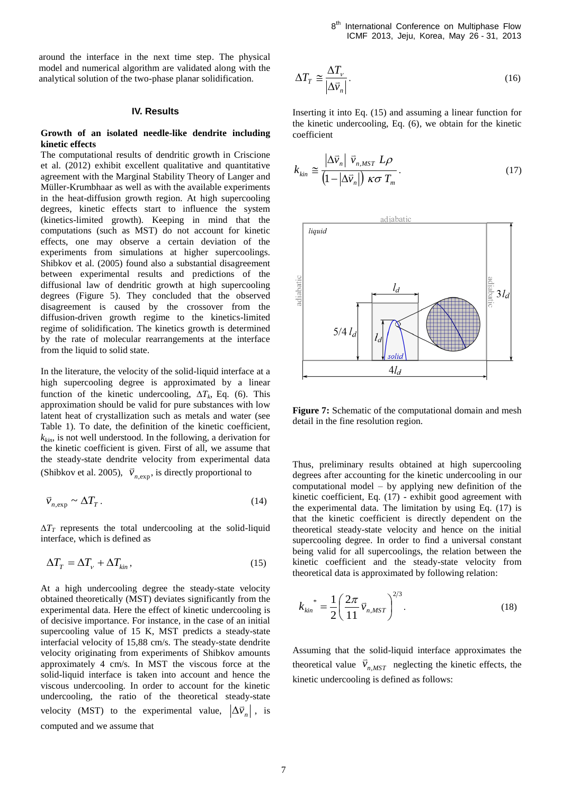around the interface in the next time step. The physical model and numerical algorithm are validated along with the analytical solution of the two-phase planar solidification.

# **IV. Results**

# **Growth of an isolated needle-like dendrite including kinetic effects**

The computational results of dendritic growth in Criscione et al. (2012) exhibit excellent qualitative and quantitative agreement with the Marginal Stability Theory of Langer and Müller-Krumbhaar as well as with the available experiments in the heat-diffusion growth region. At high supercooling degrees, kinetic effects start to influence the system (kinetics-limited growth). Keeping in mind that the computations (such as MST) do not account for kinetic effects, one may observe a certain deviation of the experiments from simulations at higher supercoolings. Shibkov et al. (2005) found also a substantial disagreement between experimental results and predictions of the diffusional law of dendritic growth at high supercooling degrees (Figure 5). They concluded that the observed disagreement is caused by the crossover from the diffusion-driven growth regime to the kinetics-limited regime of solidification. The kinetics growth is determined by the rate of molecular rearrangements at the interface from the liquid to solid state.

In the literature, the velocity of the solid-liquid interface at a high supercooling degree is approximated by a linear function of the kinetic undercooling,  $\Delta T_k$ , Eq. (6). This approximation should be valid for pure substances with low latent heat of crystallization such as metals and water (see Table 1). To date, the definition of the kinetic coefficient,  $k_{kin}$ , is not well understood. In the following, a derivation for the kinetic coefficient is given. First of all, we assume that the steady-state dendrite velocity from experimental data (Shibkov et al. 2005),  $\vec{v}_{n,exp}$ , is directly proportional to

$$
\vec{v}_{n,\exp} \sim \Delta T_T \,. \tag{14}
$$

 $\Delta T_T$  represents the total undercooling at the solid-liquid interface, which is defined as

$$
\Delta T_T = \Delta T_v + \Delta T_{kin},\tag{15}
$$

At a high undercooling degree the steady-state velocity obtained theoretically (MST) deviates significantly from the experimental data. Here the effect of kinetic undercooling is of decisive importance. For instance, in the case of an initial supercooling value of 15 K, MST predicts a steady-state interfacial velocity of 15,88 cm/s. The steady-state dendrite velocity originating from experiments of Shibkov amounts approximately 4 cm/s. In MST the viscous force at the solid-liquid interface is taken into account and hence the viscous undercooling. In order to account for the kinetic undercooling, the ratio of the theoretical steady-state velocity (MST) to the experimental value,  $|\Delta \vec{v}_n|$ , is computed and we assume that

$$
\Delta T_T \cong \frac{\Delta T_\nu}{|\Delta \bar{v}_n|}.\tag{16}
$$

Inserting it into Eq. (15) and assuming a linear function for the kinetic undercooling, Eq. (6), we obtain for the kinetic coefficient

$$
k_{kin} \cong \frac{|\Delta \vec{v}_n| \ \vec{v}_{n,MST} \ L\rho}{\left(1 - |\Delta \vec{v}_n|\right) \ \kappa \sigma \ T_m} \,. \tag{17}
$$



**Figure 7:** Schematic of the computational domain and mesh detail in the fine resolution region.

Thus, preliminary results obtained at high supercooling degrees after accounting for the kinetic undercooling in our computational model – by applying new definition of the kinetic coefficient, Eq. (17) - exhibit good agreement with the experimental data. The limitation by using Eq. (17) is that the kinetic coefficient is directly dependent on the theoretical steady-state velocity and hence on the initial supercooling degree. In order to find a universal constant being valid for all supercoolings, the relation between the kinetic coefficient and the steady-state velocity from theoretical data is approximated by following relation:

$$
k_{\min}^* = \frac{1}{2} \left( \frac{2\pi}{11} \vec{v}_{n,MST} \right)^{2/3}.
$$
 (18)

Assuming that the solid-liquid interface approximates the theoretical value  $\vec{v}_{n,MST}$  $\vec{v}_{n, MST}$  neglecting the kinetic effects, the kinetic undercooling is defined as follows: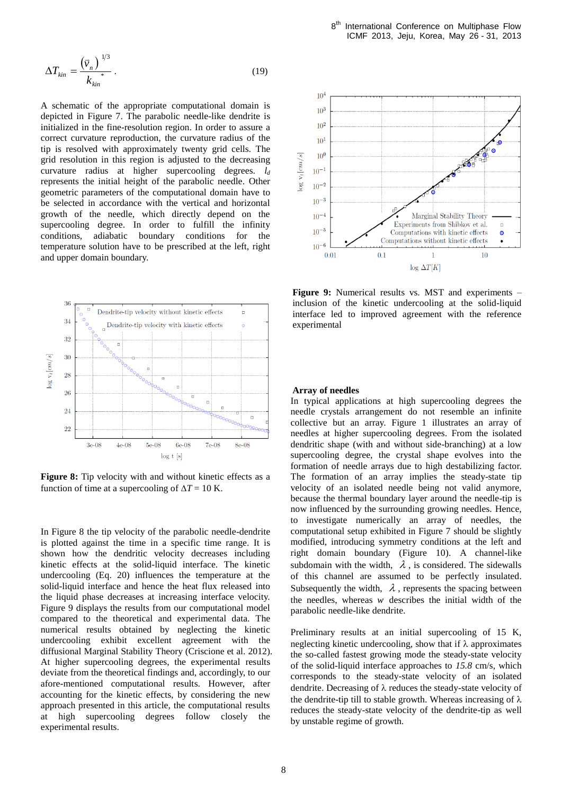$$
\Delta T_{kin} = \frac{\left(\vec{v}_n\right)^{1/3}}{k_{kin}^*} \,. \tag{19}
$$

A schematic of the appropriate computational domain is depicted in Figure 7. The parabolic needle-like dendrite is initialized in the fine-resolution region. In order to assure a correct curvature reproduction, the curvature radius of the tip is resolved with approximately twenty grid cells. The grid resolution in this region is adjusted to the decreasing curvature radius at higher supercooling degrees. *l<sup>d</sup>* represents the initial height of the parabolic needle. Other geometric parameters of the computational domain have to be selected in accordance with the vertical and horizontal growth of the needle, which directly depend on the supercooling degree. In order to fulfill the infinity conditions, adiabatic boundary conditions for the temperature solution have to be prescribed at the left, right and upper domain boundary.



**Figure 8:** Tip velocity with and without kinetic effects as a function of time at a supercooling of  $\Delta T = 10$  K.

In Figure 8 the tip velocity of the parabolic needle-dendrite is plotted against the time in a specific time range. It is shown how the dendritic velocity decreases including kinetic effects at the solid-liquid interface. The kinetic undercooling (Eq. 20) influences the temperature at the solid-liquid interface and hence the heat flux released into the liquid phase decreases at increasing interface velocity. Figure 9 displays the results from our computational model compared to the theoretical and experimental data. The numerical results obtained by neglecting the kinetic undercooling exhibit excellent agreement with the diffusional Marginal Stability Theory (Criscione et al. 2012). At higher supercooling degrees, the experimental results deviate from the theoretical findings and, accordingly, to our afore-mentioned computational results. However, after accounting for the kinetic effects, by considering the new approach presented in this article, the computational results at high supercooling degrees follow closely the experimental results.



**Figure 9:** Numerical results vs. MST and experiments – inclusion of the kinetic undercooling at the solid-liquid interface led to improved agreement with the reference experimental

# **Array of needles**

In typical applications at high supercooling degrees the needle crystals arrangement do not resemble an infinite collective but an array. Figure 1 illustrates an array of needles at higher supercooling degrees. From the isolated dendritic shape (with and without side-branching) at a low supercooling degree, the crystal shape evolves into the formation of needle arrays due to high destabilizing factor. The formation of an array implies the steady-state tip velocity of an isolated needle being not valid anymore, because the thermal boundary layer around the needle-tip is now influenced by the surrounding growing needles. Hence, to investigate numerically an array of needles, the computational setup exhibited in Figure 7 should be slightly modified, introducing symmetry conditions at the left and right domain boundary (Figure 10). A channel-like subdomain with the width,  $\lambda$ , is considered. The sidewalls of this channel are assumed to be perfectly insulated. Subsequently the width,  $\lambda$ , represents the spacing between the needles, whereas *w* describes the initial width of the parabolic needle-like dendrite.

Preliminary results at an initial supercooling of 15 K, neglecting kinetic undercooling, show that if  $\lambda$  approximates the so-called fastest growing mode the steady-state velocity of the solid-liquid interface approaches to *15.8* cm/s, which corresponds to the steady-state velocity of an isolated dendrite. Decreasing of  $\lambda$  reduces the steady-state velocity of the dendrite-tip till to stable growth. Whereas increasing of  $\lambda$ reduces the steady-state velocity of the dendrite-tip as well by unstable regime of growth.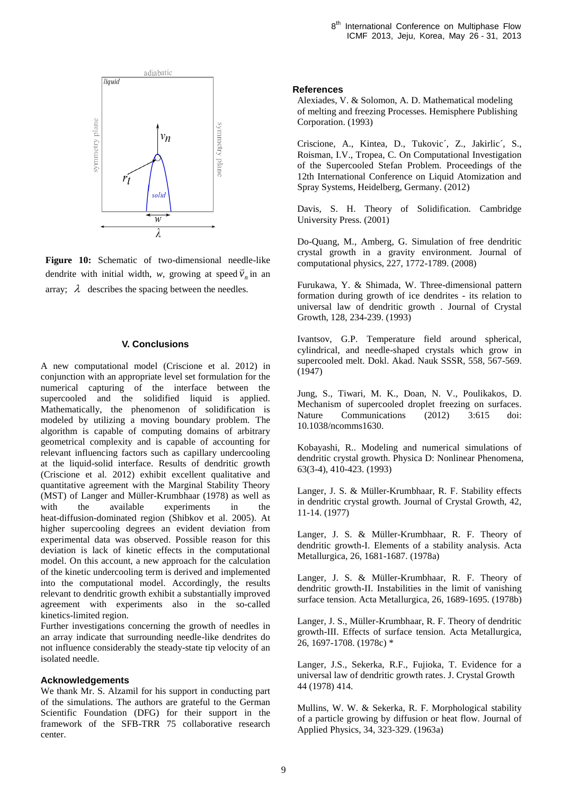

**Figure 10:** Schematic of two-dimensional needle-like dendrite with initial width, *w*, growing at speed  $\vec{v}_n$  in an array;  $\lambda$  describes the spacing between the needles.

### **V. Conclusions**

A new computational model (Criscione et al. 2012) in conjunction with an appropriate level set formulation for the numerical capturing of the interface between the supercooled and the solidified liquid is applied. Mathematically, the phenomenon of solidification is modeled by utilizing a moving boundary problem. The algorithm is capable of computing domains of arbitrary geometrical complexity and is capable of accounting for relevant influencing factors such as capillary undercooling at the liquid-solid interface. Results of dendritic growth (Criscione et al. 2012) exhibit excellent qualitative and quantitative agreement with the Marginal Stability Theory (MST) of Langer and Müller-Krumbhaar (1978) as well as with the available experiments in the heat-diffusion-dominated region (Shibkov et al. 2005). At higher supercooling degrees an evident deviation from experimental data was observed. Possible reason for this deviation is lack of kinetic effects in the computational model. On this account, a new approach for the calculation of the kinetic undercooling term is derived and implemented into the computational model. Accordingly, the results relevant to dendritic growth exhibit a substantially improved agreement with experiments also in the so-called kinetics-limited region.

Further investigations concerning the growth of needles in an array indicate that surrounding needle-like dendrites do not influence considerably the steady-state tip velocity of an isolated needle.

# **Acknowledgements**

We thank Mr. S. Alzamil for his support in conducting part of the simulations. The authors are grateful to the German Scientific Foundation (DFG) for their support in the framework of the SFB-TRR 75 collaborative research center.

### **References**

Alexiades, V. & Solomon, A. D. Mathematical modeling of melting and freezing Processes. Hemisphere Publishing Corporation. (1993)

Criscione, A., Kintea, D., Tukovic´, Z., Jakirlic´, S., Roisman, I.V., Tropea, C. On Computational Investigation of the Supercooled Stefan Problem. Proceedings of the 12th International Conference on Liquid Atomization and Spray Systems, Heidelberg, Germany. (2012)

Davis, S. H. Theory of Solidification. Cambridge University Press. (2001)

Do-Quang, M., Amberg, G. Simulation of free dendritic crystal growth in a gravity environment. Journal of computational physics, 227, 1772-1789. (2008)

Furukawa, Y. & Shimada, W. Three-dimensional pattern formation during growth of ice dendrites - its relation to universal law of dendritic growth . Journal of Crystal Growth, 128, 234-239. (1993)

Ivantsov, G.P. Temperature field around spherical, cylindrical, and needle-shaped crystals which grow in supercooled melt. Dokl. Akad. Nauk SSSR, 558, 567-569. (1947)

Jung, S., Tiwari, M. K., Doan, N. V., Poulikakos, D. Mechanism of supercooled droplet freezing on surfaces. Nature Communications (2012) 3:615 doi: 10.1038/ncomms1630.

Kobayashi, R.. Modeling and numerical simulations of dendritic crystal growth. Physica D: Nonlinear Phenomena, 63(3-4), 410-423. (1993)

Langer, J. S. & Müller-Krumbhaar, R. F. Stability effects in dendritic crystal growth. Journal of Crystal Growth, 42, 11-14. (1977)

Langer, J. S. & Müller-Krumbhaar, R. F. Theory of dendritic growth-I. Elements of a stability analysis. Acta Metallurgica, 26, 1681-1687. (1978a)

Langer, J. S. & Müller-Krumbhaar, R. F. Theory of dendritic growth-II. Instabilities in the limit of vanishing surface tension. Acta Metallurgica, 26, 1689-1695. (1978b)

Langer, J. S., Müller-Krumbhaar, R. F. Theory of dendritic growth-III. Effects of surface tension. Acta Metallurgica, 26, 1697-1708. (1978c) \*

Langer, J.S., Sekerka, R.F., Fujioka, T. Evidence for a universal law of dendritic growth rates. J. Crystal Growth 44 (1978) 414.

Mullins, W. W. & Sekerka, R. F. Morphological stability of a particle growing by diffusion or heat flow. Journal of Applied Physics, 34, 323-329. (1963a)